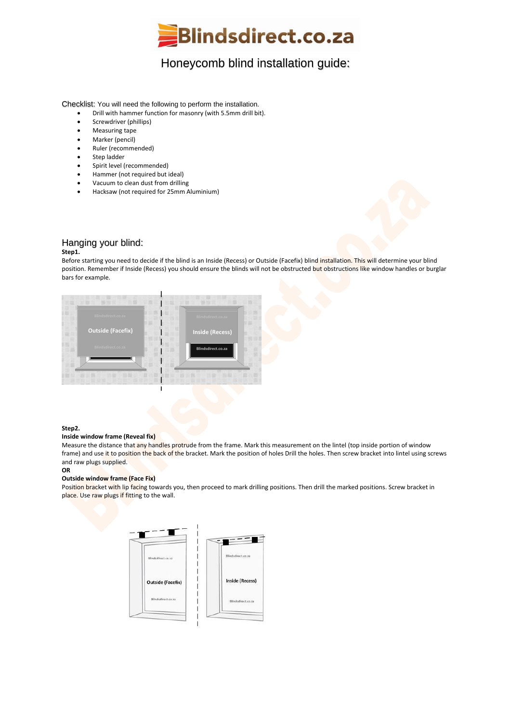

# Honeycomb blind installation guide:

Checklist: You will need the following to perform the installation.

- Drill with hammer function for masonry (with 5.5mm drill bit).
- Screwdriver (phillips)
- Measuring tape
- Marker (pencil)
- Ruler (recommended)
- Step ladder
- Spirit level (recommended)
- Hammer (not required but ideal)
- Vacuum to clean dust from drilling
- Hacksaw (not required for 25mm Aluminium)

### Hanging your blind:

#### **Step1.**

Before starting you need to decide if the blind is an Inside (Recess) or Outside (Facefix) blind installation. This will determine your blind position. Remember if Inside (Recess) you should ensure the blinds will not be obstructed but obstructions like window handles or burglar bars for example.



#### **Step2.**

#### **Inside window frame (Reveal fix)**

Measure the distance that any handles protrude from the frame. Mark this measurement on the lintel (top inside portion of window frame) and use it to position the back of the bracket. Mark the position of holes Drill the holes. Then screw bracket into lintel using screws and raw plugs supplied.

## **OR**

### **Outside window frame (Face Fix)**

Position bracket with lip facing towards you, then proceed to mark drilling positions. Then drill the marked positions. Screw bracket in place. Use raw plugs if fitting to the wall.